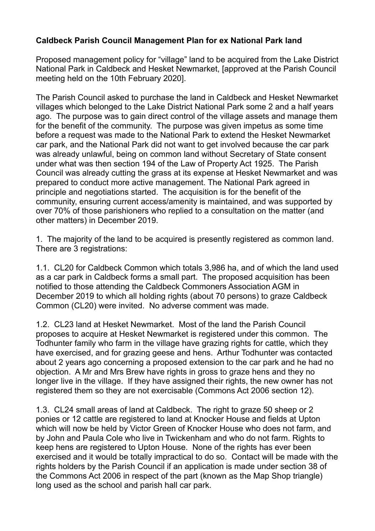## **Caldbeck Parish Council Management Plan for ex National Park land**

Proposed management policy for "village" land to be acquired from the Lake District National Park in Caldbeck and Hesket Newmarket, [approved at the Parish Council meeting held on the 10th February 2020].

The Parish Council asked to purchase the land in Caldbeck and Hesket Newmarket villages which belonged to the Lake District National Park some 2 and a half years ago. The purpose was to gain direct control of the village assets and manage them for the benefit of the community. The purpose was given impetus as some time before a request was made to the National Park to extend the Hesket Newmarket car park, and the National Park did not want to get involved because the car park was already unlawful, being on common land without Secretary of State consent under what was then section 194 of the Law of Property Act 1925. The Parish Council was already cutting the grass at its expense at Hesket Newmarket and was prepared to conduct more active management. The National Park agreed in principle and negotiations started. The acquisition is for the benefit of the community, ensuring current access/amenity is maintained, and was supported by over 70% of those parishioners who replied to a consultation on the matter (and other matters) in December 2019.

1. The majority of the land to be acquired is presently registered as common land. There are 3 registrations:

1.1. CL20 for Caldbeck Common which totals 3,986 ha, and of which the land used as a car park in Caldbeck forms a small part. The proposed acquisition has been notified to those attending the Caldbeck Commoners Association AGM in December 2019 to which all holding rights (about 70 persons) to graze Caldbeck Common (CL20) were invited. No adverse comment was made.

1.2. CL23 land at Hesket Newmarket. Most of the land the Parish Council proposes to acquire at Hesket Newmarket is registered under this common. The Todhunter family who farm in the village have grazing rights for cattle, which they have exercised, and for grazing geese and hens. Arthur Todhunter was contacted about 2 years ago concerning a proposed extension to the car park and he had no objection. A Mr and Mrs Brew have rights in gross to graze hens and they no longer live in the village. If they have assigned their rights, the new owner has not registered them so they are not exercisable (Commons Act 2006 section 12).

1.3. CL24 small areas of land at Caldbeck. The right to graze 50 sheep or 2 ponies or 12 cattle are registered to land at Knocker House and fields at Upton which will now be held by Victor Green of Knocker House who does not farm, and by John and Paula Cole who live in Twickenham and who do not farm. Rights to keep hens are registered to Upton House. None of the rights has ever been exercised and it would be totally impractical to do so. Contact will be made with the rights holders by the Parish Council if an application is made under section 38 of the Commons Act 2006 in respect of the part (known as the Map Shop triangle) long used as the school and parish hall car park.